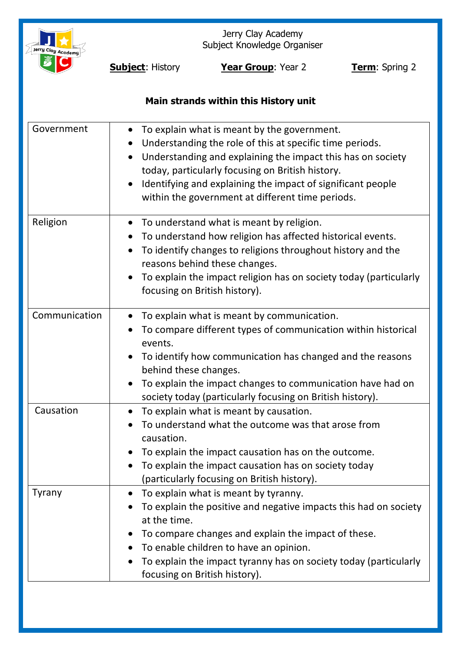

Jerry Clay Academy Subject Knowledge Organiser

**Subject:** History **Year Group**: Year 2 **Term**: Spring 2

# **Main strands within this History unit**

| Government    | To explain what is meant by the government.<br>$\bullet$<br>Understanding the role of this at specific time periods.<br>$\bullet$<br>Understanding and explaining the impact this has on society<br>today, particularly focusing on British history.<br>Identifying and explaining the impact of significant people<br>within the government at different time periods. |
|---------------|-------------------------------------------------------------------------------------------------------------------------------------------------------------------------------------------------------------------------------------------------------------------------------------------------------------------------------------------------------------------------|
| Religion      | To understand what is meant by religion.<br>To understand how religion has affected historical events.<br>$\bullet$<br>To identify changes to religions throughout history and the<br>$\bullet$<br>reasons behind these changes.<br>To explain the impact religion has on society today (particularly<br>focusing on British history).                                  |
| Communication | To explain what is meant by communication.<br>To compare different types of communication within historical<br>events.<br>To identify how communication has changed and the reasons<br>behind these changes.<br>To explain the impact changes to communication have had on<br>society today (particularly focusing on British history).                                 |
| Causation     | To explain what is meant by causation.<br>$\bullet$<br>To understand what the outcome was that arose from<br>causation.<br>To explain the impact causation has on the outcome.<br>• To explain the impact causation has on society today<br>(particularly focusing on British history).                                                                                 |
| <b>Tyrany</b> | To explain what is meant by tyranny.<br>To explain the positive and negative impacts this had on society<br>at the time.<br>To compare changes and explain the impact of these.<br>To enable children to have an opinion.<br>To explain the impact tyranny has on society today (particularly<br>focusing on British history).                                          |